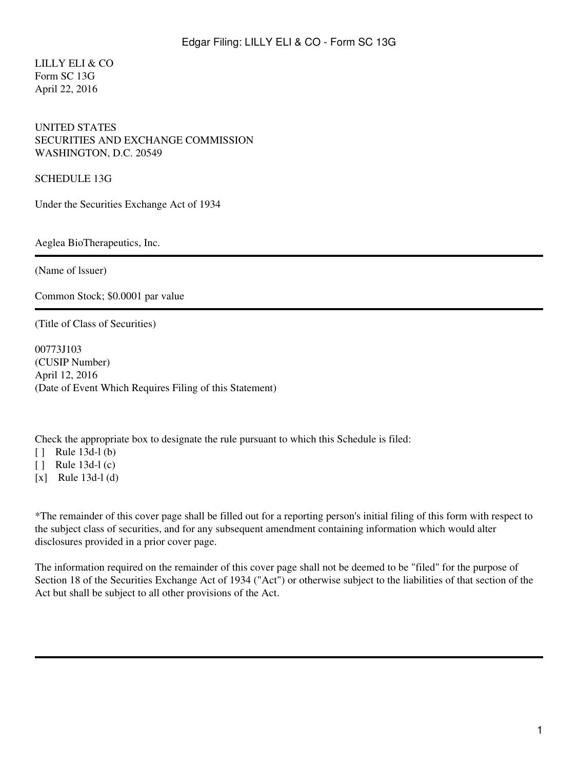LILLY ELI & CO Form SC 13G April 22, 2016

#### UNITED STATES SECURITIES AND EXCHANGE COMMISSION WASHINGTON, D.C. 20549

SCHEDULE 13G

Under the Securities Exchange Act of 1934

Aeglea BioTherapeutics, Inc.

(Name of lssuer)

Common Stock; \$0.0001 par value

(Title of Class of Securities)

00773J103 (CUSIP Number) April 12, 2016 (Date of Event Which Requires Filing of this Statement)

Check the appropriate box to designate the rule pursuant to which this Schedule is filed:

 $[ ]$  Rule 13d-1(b)

[ ] Rule 13d-1 (c)

 $[x]$  Rule 13d-1(d)

\*The remainder of this cover page shall be filled out for a reporting person's initial filing of this form with respect to the subject class of securities, and for any subsequent amendment containing information which would alter disclosures provided in a prior cover page.

The information required on the remainder of this cover page shall not be deemed to be "filed" for the purpose of Section 18 of the Securities Exchange Act of 1934 ("Act") or otherwise subject to the liabilities of that section of the Act but shall be subject to all other provisions of the Act.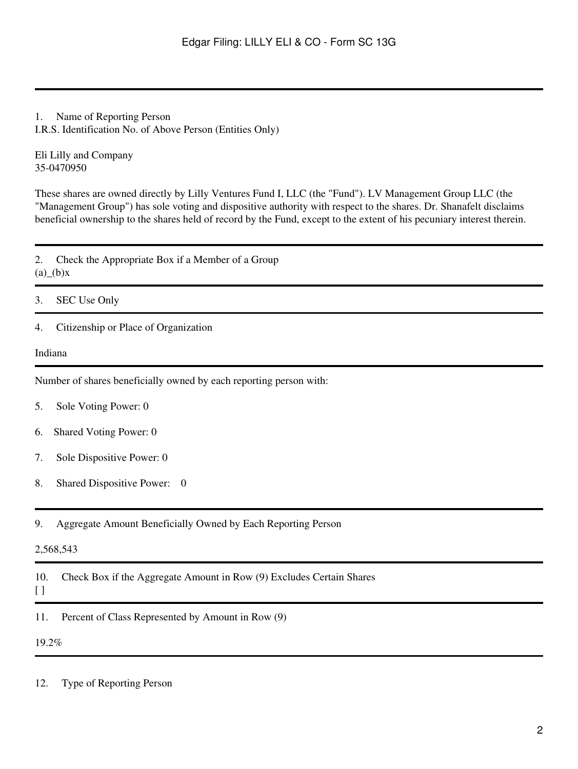## 1. Name of Reporting Person

I.R.S. Identification No. of Above Person (Entities Only)

Eli Lilly and Company 35-0470950

These shares are owned directly by Lilly Ventures Fund I, LLC (the "Fund"). LV Management Group LLC (the "Management Group") has sole voting and dispositive authority with respect to the shares. Dr. Shanafelt disclaims beneficial ownership to the shares held of record by the Fund, except to the extent of his pecuniary interest therein.

2. Check the Appropriate Box if a Member of a Group  $(a)$ <sup>(b)</sup>x

- 3. SEC Use Only
- 4. Citizenship or Place of Organization

#### Indiana

Number of shares beneficially owned by each reporting person with:

- 5. Sole Voting Power: 0
- 6. Shared Voting Power: 0
- 7. Sole Dispositive Power: 0
- 8. Shared Dispositive Power: 0
- 9. Aggregate Amount Beneficially Owned by Each Reporting Person

#### 2,568,543

10. Check Box if the Aggregate Amount in Row (9) Excludes Certain Shares

# [ ]

11. Percent of Class Represented by Amount in Row (9)

#### 19.2%

12. Type of Reporting Person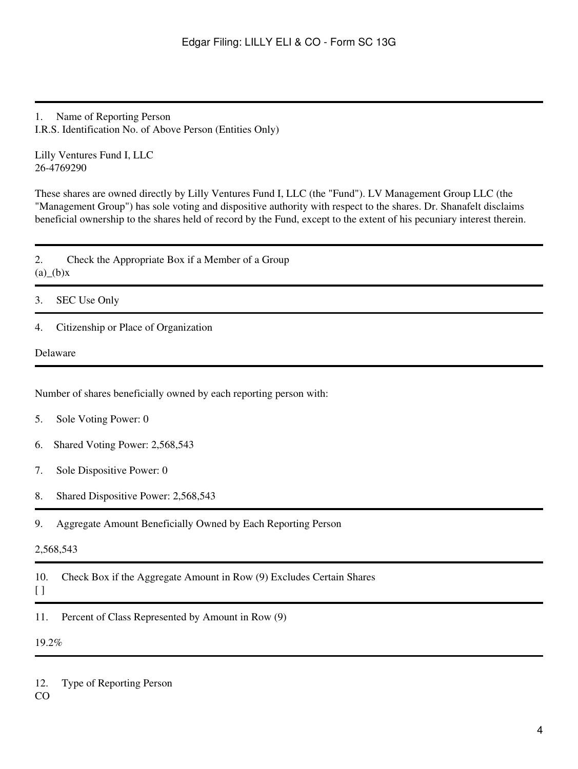1. Name of Reporting Person I.R.S. Identification No. of Above Person (Entities Only)

Lilly Ventures Fund I, LLC 26-4769290

These shares are owned directly by Lilly Ventures Fund I, LLC (the "Fund"). LV Management Group LLC (the "Management Group") has sole voting and dispositive authority with respect to the shares. Dr. Shanafelt disclaims beneficial ownership to the shares held of record by the Fund, except to the extent of his pecuniary interest therein.

2. Check the Appropriate Box if a Member of a Group  $(a)$ <sup>(b)</sup>x

3. SEC Use Only

4. Citizenship or Place of Organization

Delaware

Number of shares beneficially owned by each reporting person with:

- 5. Sole Voting Power: 0
- 6. Shared Voting Power: 2,568,543
- 7. Sole Dispositive Power: 0
- 8. Shared Dispositive Power: 2,568,543
- 9. Aggregate Amount Beneficially Owned by Each Reporting Person

#### 2,568,543

10. Check Box if the Aggregate Amount in Row (9) Excludes Certain Shares

## [ ]

11. Percent of Class Represented by Amount in Row (9)

19.2%

12. Type of Reporting Person

CO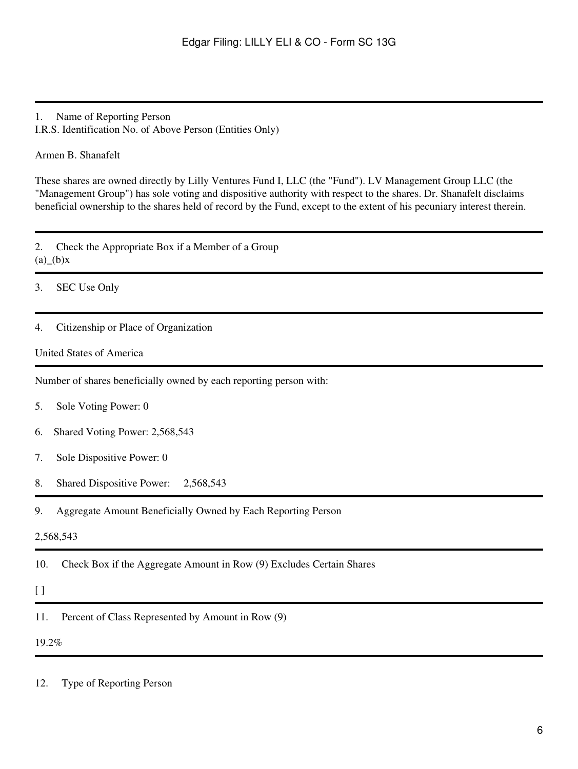## 1. Name of Reporting Person

I.R.S. Identification No. of Above Person (Entities Only)

#### Armen B. Shanafelt

These shares are owned directly by Lilly Ventures Fund I, LLC (the "Fund"). LV Management Group LLC (the "Management Group") has sole voting and dispositive authority with respect to the shares. Dr. Shanafelt disclaims beneficial ownership to the shares held of record by the Fund, except to the extent of his pecuniary interest therein.

2. Check the Appropriate Box if a Member of a Group  $(a)$ <sub>(b)</sub>x

3. SEC Use Only

#### 4. Citizenship or Place of Organization

#### United States of America

Number of shares beneficially owned by each reporting person with:

- 5. Sole Voting Power: 0
- 6. Shared Voting Power: 2,568,543
- 7. Sole Dispositive Power: 0
- 8. Shared Dispositive Power: 2,568,543
- 9. Aggregate Amount Beneficially Owned by Each Reporting Person

#### 2,568,543

10. Check Box if the Aggregate Amount in Row (9) Excludes Certain Shares

#### [ ]

11. Percent of Class Represented by Amount in Row (9)

19.2%

12. Type of Reporting Person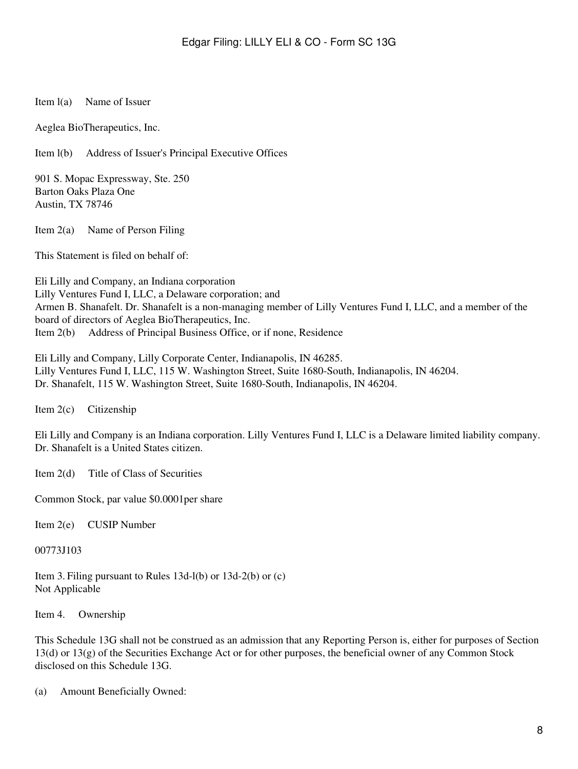#### Item l(a) Name of Issuer

Aeglea BioTherapeutics, Inc.

Item l(b) Address of Issuer's Principal Executive Offices

901 S. Mopac Expressway, Ste. 250 Barton Oaks Plaza One Austin, TX 78746

Item 2(a) Name of Person Filing

This Statement is filed on behalf of:

Eli Lilly and Company, an Indiana corporation Lilly Ventures Fund I, LLC, a Delaware corporation; and Armen B. Shanafelt. Dr. Shanafelt is a non-managing member of Lilly Ventures Fund I, LLC, and a member of the board of directors of Aeglea BioTherapeutics, Inc. Item 2(b) Address of Principal Business Office, or if none, Residence

Eli Lilly and Company, Lilly Corporate Center, Indianapolis, IN 46285. Lilly Ventures Fund I, LLC, 115 W. Washington Street, Suite 1680-South, Indianapolis, IN 46204. Dr. Shanafelt, 115 W. Washington Street, Suite 1680-South, Indianapolis, IN 46204.

Item 2(c) Citizenship

Eli Lilly and Company is an Indiana corporation. Lilly Ventures Fund I, LLC is a Delaware limited liability company. Dr. Shanafelt is a United States citizen.

Item 2(d) Title of Class of Securities

Common Stock, par value \$0.0001per share

Item 2(e) CUSIP Number

00773J103

Item 3. Filing pursuant to Rules 13d-l(b) or 13d-2(b) or (c) Not Applicable

Item 4. Ownership

This Schedule 13G shall not be construed as an admission that any Reporting Person is, either for purposes of Section 13(d) or 13(g) of the Securities Exchange Act or for other purposes, the beneficial owner of any Common Stock disclosed on this Schedule 13G.

(a) Amount Beneficially Owned: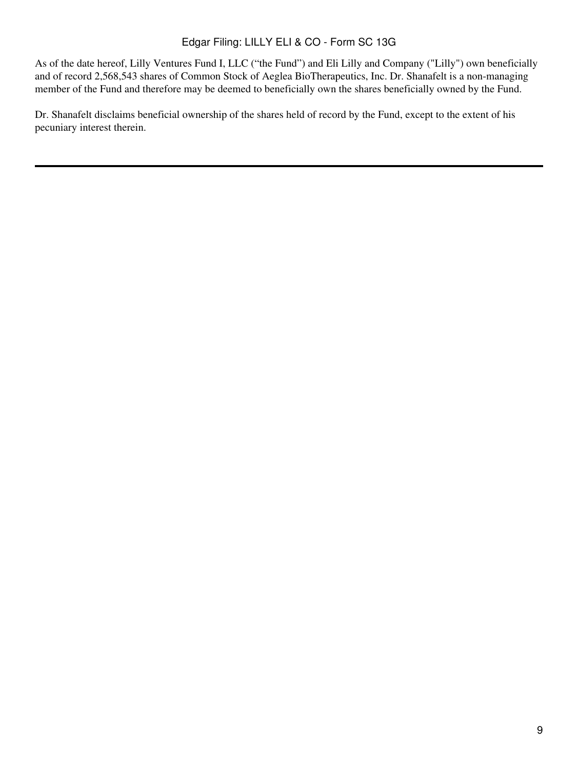# Edgar Filing: LILLY ELI & CO - Form SC 13G

As of the date hereof, Lilly Ventures Fund I, LLC ("the Fund") and Eli Lilly and Company ("Lilly") own beneficially and of record 2,568,543 shares of Common Stock of Aeglea BioTherapeutics, Inc. Dr. Shanafelt is a non-managing member of the Fund and therefore may be deemed to beneficially own the shares beneficially owned by the Fund.

Dr. Shanafelt disclaims beneficial ownership of the shares held of record by the Fund, except to the extent of his pecuniary interest therein.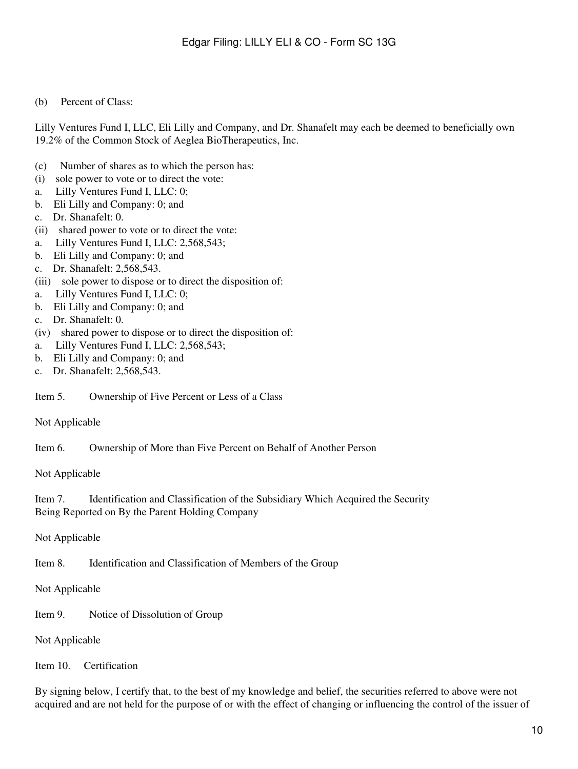#### (b) Percent of Class:

Lilly Ventures Fund I, LLC, Eli Lilly and Company, and Dr. Shanafelt may each be deemed to beneficially own 19.2% of the Common Stock of Aeglea BioTherapeutics, Inc.

- (c) Number of shares as to which the person has:
- (i) sole power to vote or to direct the vote:
- a. Lilly Ventures Fund I, LLC: 0;
- b. Eli Lilly and Company: 0; and
- c. Dr. Shanafelt: 0.
- (ii) shared power to vote or to direct the vote:
- a. Lilly Ventures Fund I, LLC: 2,568,543;
- b. Eli Lilly and Company: 0; and
- c. Dr. Shanafelt: 2,568,543.
- (iii) sole power to dispose or to direct the disposition of:
- a. Lilly Ventures Fund I, LLC: 0;
- b. Eli Lilly and Company: 0; and
- c. Dr. Shanafelt: 0.
- (iv) shared power to dispose or to direct the disposition of:
- a. Lilly Ventures Fund I, LLC: 2,568,543;
- b. Eli Lilly and Company: 0; and
- c. Dr. Shanafelt: 2,568,543.

Item 5. Ownership of Five Percent or Less of a Class

Not Applicable

Item 6. Ownership of More than Five Percent on Behalf of Another Person

Not Applicable

Item 7. Identification and Classification of the Subsidiary Which Acquired the Security Being Reported on By the Parent Holding Company

Not Applicable

Item 8. Identification and Classification of Members of the Group

Not Applicable

Item 9. Notice of Dissolution of Group

Not Applicable

Item 10. Certification

By signing below, I certify that, to the best of my knowledge and belief, the securities referred to above were not acquired and are not held for the purpose of or with the effect of changing or influencing the control of the issuer of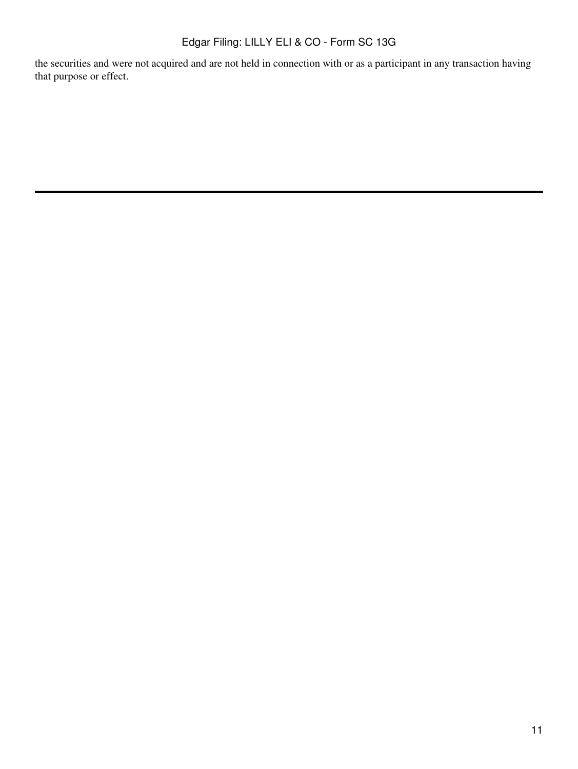# Edgar Filing: LILLY ELI & CO - Form SC 13G

the securities and were not acquired and are not held in connection with or as a participant in any transaction having that purpose or effect.